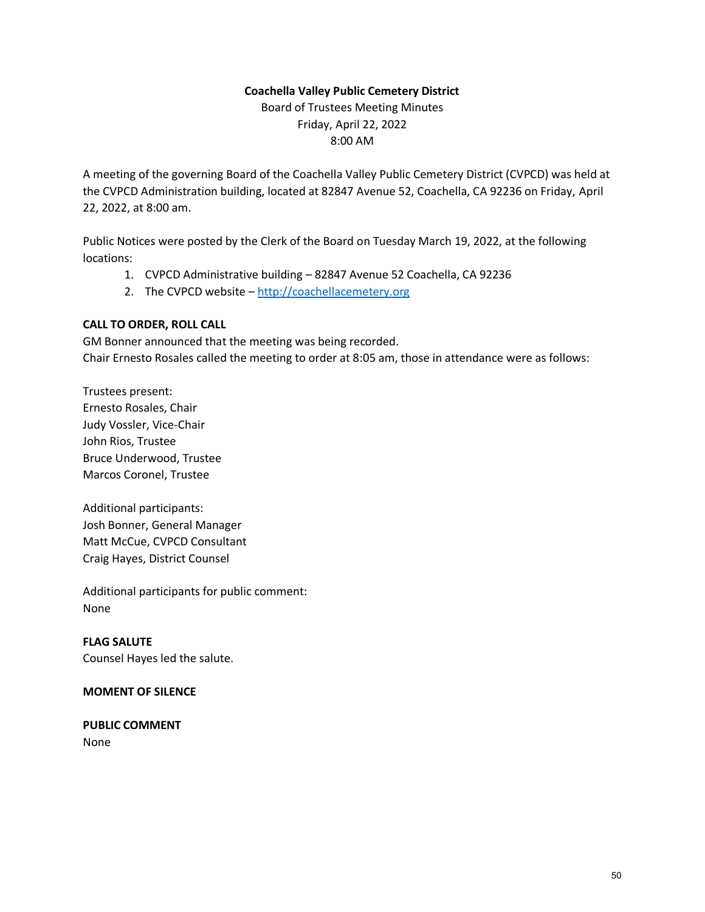# **Coachella Valley Public Cemetery District**

Board of Trustees Meeting Minutes Friday, April 22, 2022 8:00 AM

A meeting of the governing Board of the Coachella Valley Public Cemetery District (CVPCD) was held at the CVPCD Administration building, located at 82847 Avenue 52, Coachella, CA 92236 on Friday, April 22, 2022, at 8:00 am.

Public Notices were posted by the Clerk of the Board on Tuesday March 19, 2022, at the following locations:

- 1. CVPCD Administrative building 82847 Avenue 52 Coachella, CA 92236
- 2. The CVPCD website [http://coachellacemetery.org](http://coachellacemetery.org/)

## **CALL TO ORDER, ROLL CALL**

GM Bonner announced that the meeting was being recorded. Chair Ernesto Rosales called the meeting to order at 8:05 am, those in attendance were as follows:

Trustees present: Ernesto Rosales, Chair Judy Vossler, Vice-Chair John Rios, Trustee Bruce Underwood, Trustee Marcos Coronel, Trustee

Additional participants: Josh Bonner, General Manager Matt McCue, CVPCD Consultant Craig Hayes, District Counsel

Additional participants for public comment: None

**FLAG SALUTE** Counsel Hayes led the salute.

## **MOMENT OF SILENCE**

**PUBLIC COMMENT** None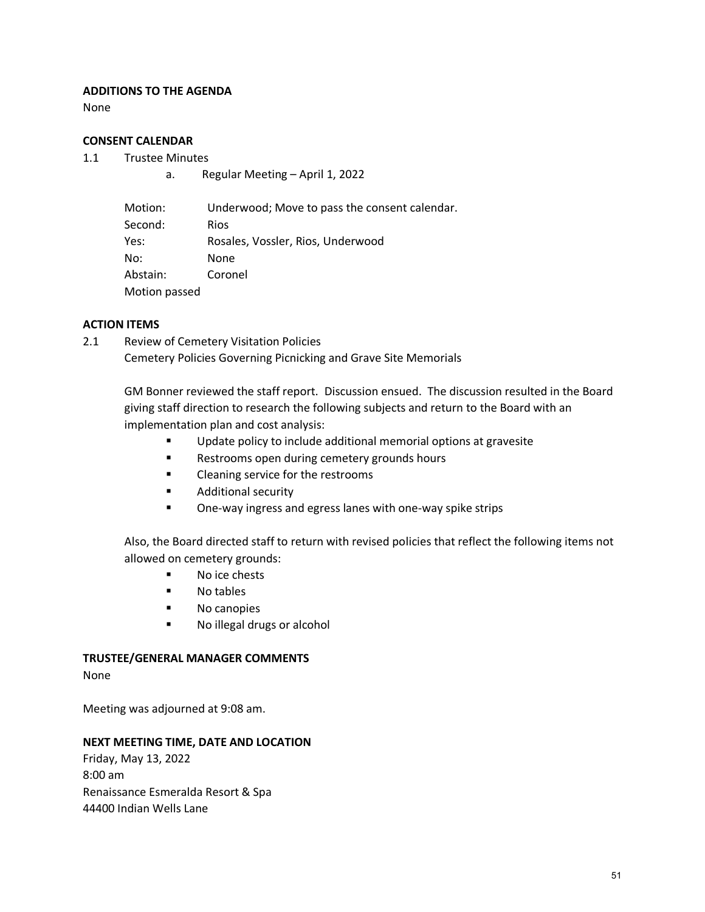### **ADDITIONS TO THE AGENDA**

None

#### **CONSENT CALENDAR**

- 1.1 Trustee Minutes
	- a. Regular Meeting April 1, 2022

| Motion:       | Underwood; Move to pass the consent calendar. |
|---------------|-----------------------------------------------|
| Second:       | <b>Rios</b>                                   |
| Yes:          | Rosales, Vossler, Rios, Underwood             |
| No:           | <b>None</b>                                   |
| Abstain:      | Coronel                                       |
| Motion passed |                                               |

#### **ACTION ITEMS**

2.1 Review of Cemetery Visitation Policies Cemetery Policies Governing Picnicking and Grave Site Memorials

> GM Bonner reviewed the staff report. Discussion ensued. The discussion resulted in the Board giving staff direction to research the following subjects and return to the Board with an implementation plan and cost analysis:

- Update policy to include additional memorial options at gravesite
- Restrooms open during cemetery grounds hours
- Cleaning service for the restrooms
- Additional security
- One-way ingress and egress lanes with one-way spike strips

Also, the Board directed staff to return with revised policies that reflect the following items not allowed on cemetery grounds:

- No ice chests
- No tables
- No canopies
- No illegal drugs or alcohol

### **TRUSTEE/GENERAL MANAGER COMMENTS**

None

Meeting was adjourned at 9:08 am.

#### **NEXT MEETING TIME, DATE AND LOCATION**

Friday, May 13, 2022 8:00 am Renaissance Esmeralda Resort & Spa 44400 Indian Wells Lane